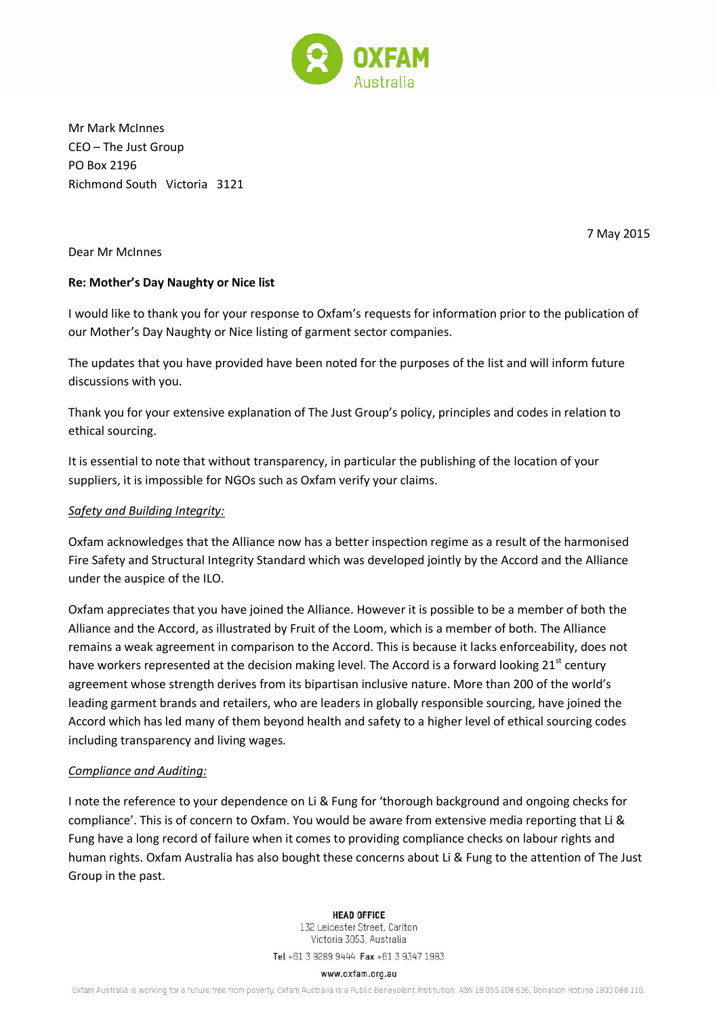

Mr Mark McInnes CEO – The Just Group PO Box 2196 Richmond South Victoria 3121

Dear Mr McInnes

7 May 2015

## **Re: Mother's Day Naughty or Nice list**

I would like to thank you for your response to Oxfam's requests for information prior to the publication of our Mother's Day Naughty or Nice listing of garment sector companies.

The updates that you have provided have been noted for the purposes of the list and will inform future discussions with you.

Thank you for your extensive explanation of The Just Group's policy, principles and codes in relation to ethical sourcing.

It is essential to note that without transparency, in particular the publishing of the location of your suppliers, it is impossible for NGOs such as Oxfam verify your claims.

## *Safety and Building Integrity:*

Oxfam acknowledges that the Alliance now has a better inspection regime as a result of the harmonised Fire Safety and Structural Integrity Standard which was developed jointly by the Accord and the Alliance under the auspice of the ILO.

Oxfam appreciates that you have joined the Alliance. However it is possible to be a member of both the Alliance and the Accord, as illustrated by Fruit of the Loom, which is a member of both. The Alliance remains a weak agreement in comparison to the Accord. This is because it lacks enforceability, does not have workers represented at the decision making level. The Accord is a forward looking 21<sup>st</sup> century agreement whose strength derives from its bipartisan inclusive nature. More than 200 of the world's leading garment brands and retailers, who are leaders in globally responsible sourcing, have joined the Accord which has led many of them beyond health and safety to a higher level of ethical sourcing codes including transparency and living wages.

## *Compliance and Auditing:*

I note the reference to your dependence on Li & Fung for 'thorough background and ongoing checks for compliance'. This is of concern to Oxfam. You would be aware from extensive media reporting that Li & Fung have a long record of failure when it comes to providing compliance checks on labour rights and human rights. Oxfam Australia has also bought these concerns about Li & Fung to the attention of The Just Group in the past.

> **HEAD OFFICE** 132 Leicester Street, Carlton Victoria 3053, Australia

Tel +61 3 9289 9444 Fax +61 3 9347 1983

## www.oxfam.org.au

Oxfam Australia is working for a future free from poverty. Oxfam Australia is a Public Benevolent Institution. ABN 18 055 208 636. Donation Hotline 1800 088 110.